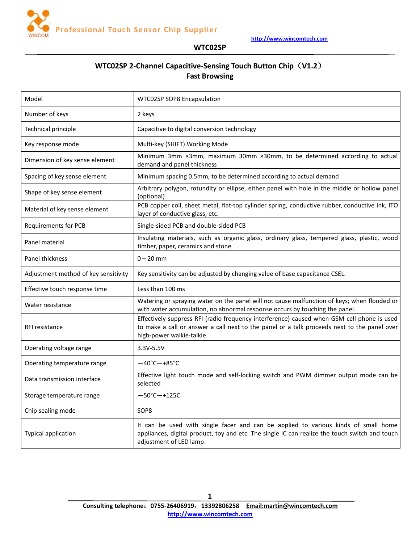

# **WTC02SP 2-Channel Capacitive-Sensing Touch Button Chip**(**V1.2**) **Fast Browsing**

| Model                                | WTC02SP SOP8 Encapsulation                                                                                                                                                                                             |  |  |
|--------------------------------------|------------------------------------------------------------------------------------------------------------------------------------------------------------------------------------------------------------------------|--|--|
| Number of keys                       | 2 keys                                                                                                                                                                                                                 |  |  |
| Technical principle                  | Capacitive to digital conversion technology                                                                                                                                                                            |  |  |
| Key response mode                    | Multi-key (SHIFT) Working Mode                                                                                                                                                                                         |  |  |
| Dimension of key sense element       | Minimum 3mm ×3mm, maximum 30mm ×30mm, to be determined according to actual<br>demand and panel thickness                                                                                                               |  |  |
| Spacing of key sense element         | Minimum spacing 0.5mm, to be determined according to actual demand                                                                                                                                                     |  |  |
| Shape of key sense element           | Arbitrary polygon, rotundity or ellipse, either panel with hole in the middle or hollow panel<br>(optional)                                                                                                            |  |  |
| Material of key sense element        | PCB copper coil, sheet metal, flat-top cylinder spring, conductive rubber, conductive ink, ITO<br>layer of conductive glass, etc.                                                                                      |  |  |
| <b>Requirements for PCB</b>          | Single-sided PCB and double-sided PCB                                                                                                                                                                                  |  |  |
| Panel material                       | Insulating materials, such as organic glass, ordinary glass, tempered glass, plastic, wood<br>timber, paper, ceramics and stone                                                                                        |  |  |
| Panel thickness                      | $0 - 20$ mm                                                                                                                                                                                                            |  |  |
| Adjustment method of key sensitivity | Key sensitivity can be adjusted by changing value of base capacitance CSEL.                                                                                                                                            |  |  |
| Effective touch response time        | Less than 100 ms                                                                                                                                                                                                       |  |  |
| Water resistance                     | Watering or spraying water on the panel will not cause malfunction of keys; when flooded or<br>with water accumulation, no abnormal response occurs by touching the panel.                                             |  |  |
| RFI resistance                       | Effectively suppress RFI (radio frequency interference) caused when GSM cell phone is used<br>to make a call or answer a call next to the panel or a talk proceeds next to the panel over<br>high-power walkie-talkie. |  |  |
| Operating voltage range              | 3.3V-5.5V                                                                                                                                                                                                              |  |  |
| Operating temperature range          | $-40^{\circ}$ C $-+85^{\circ}$ C                                                                                                                                                                                       |  |  |
| Data transmission interface          | Effective light touch mode and self-locking switch and PWM dimmer output mode can be<br>selected                                                                                                                       |  |  |
| Storage temperature range            | $-50^{\circ}$ C $-+125C$                                                                                                                                                                                               |  |  |
| Chip sealing mode                    | SOP8                                                                                                                                                                                                                   |  |  |
| <b>Typical application</b>           | It can be used with single facer and can be applied to various kinds of small home<br>appliances, digital product, toy and etc. The single IC can realize the touch switch and touch<br>adjustment of LED lamp.        |  |  |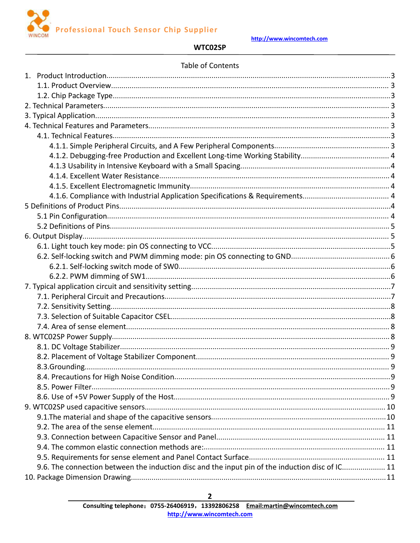

## WTC02SP

### Table of Contents

| 9.6. The connection between the induction disc and the input pin of the induction disc of IC 11 |  |
|-------------------------------------------------------------------------------------------------|--|
|                                                                                                 |  |

 $\mathbf{2}$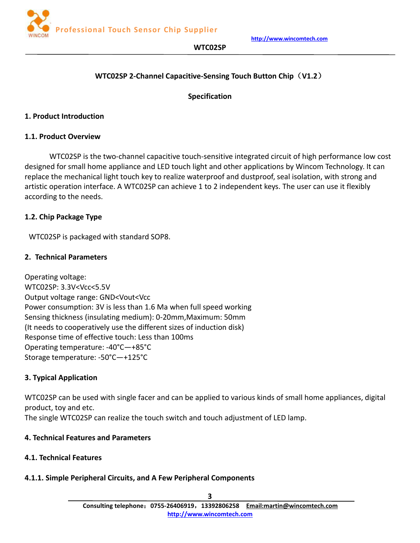## **WTC02SP 2-Channel Capacitive-Sensing Touch Button Chip**(**V1.2**)

## **Specification**

## <span id="page-2-2"></span><span id="page-2-1"></span><span id="page-2-0"></span>**1. Product Introduction**

## **1.1. Product Overview**

WTC02SP is the two-channel capacitive touch-sensitive integrated circuit of high performance low cost designed for small home appliance and LED touch light and other applications by Wincom Technology. It can replace the mechanical light touch key to realize waterproof and dustproof, seal isolation, with strong and artistic operation interface. A WTC02SP can achieve 1 to 2 independent keys. The user can use it flexibly according to the needs.

## **1.2. Chip Package Type**

WTC02SP is packaged with standard SOP8.

### **2. Technical Parameters**

Operating voltage: WTC02SP: 3.3V<Vcc<5.5V Output voltage range: GND<Vout<Vcc Power consumption: 3V is less than 1.6 Ma when full speed working Sensing thickness (insulating medium): 0-20mm,Maximum: 50mm (It needs to cooperatively use the different sizes of induction disk) Response time of effective touch: Less than 100ms Operating temperature: -40°C—+85°C Storage temperature: -50°C—+125°C

## **3. Typical Application**

WTC02SP can be used with single facer and can be applied to various kinds of small home appliances, digital product, toy and etc. The single WTC02SP can realize the touch switch and touch adjustment of LED lamp.

### **4. Technical Features and Parameters**

## **4.1. Technical Features**

## **4.1.1. Simple Peripheral Circuits, and A Few Peripheral Components**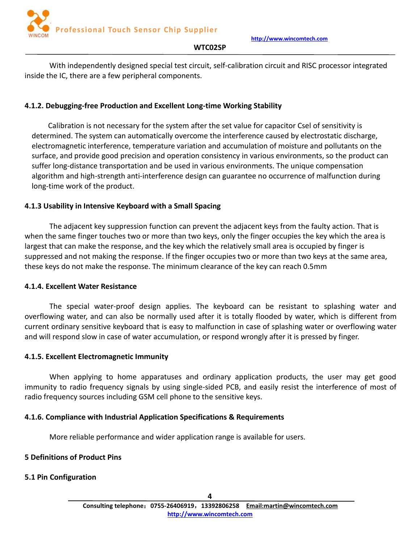

<span id="page-3-0"></span>With independently designed special test circuit, self-calibration circuit and RISC processor integrated inside the IC, there are a few peripheral components.

## **4.1.2. Debugging-free Production and Excellent Long-time Working Stability**

Calibration is not necessary for the system after the set value for capacitor Csel of sensitivity is determined. The system can automatically overcome the interference caused by electrostatic discharge, electromagnetic interference, temperature variation and accumulation of moisture and pollutants on the surface, and provide good precision and operation consistency in various environments, so the product can suffer long-distance transportation and be used in various environments. The unique compensation algorithm and high-strength anti-interference design can guarantee no occurrence of malfunction during long-time work of the product.

### **4.1.3 Usability in Intensive Keyboard with a Small Spacing**

The adjacent key suppression function can prevent the adjacent keys from the faulty action. That is when the same finger touches two or more than two keys, only the finger occupies the key which the area is largest that can make the response, and the key which the relatively small area is occupied by finger is suppressed and not making the response. If the finger occupies two or more than two keys at the same area, these keysdo not make the response. The minimum clearance of the key can reach 0.5mm

### **4.1.4. Excellent Water Resistance**

The special water-proof design applies. The keyboard can be resistant to splashing water and overflowing water, and can also be normally used after it is totally flooded by water, which is different from current ordinary sensitive keyboard that is easy to malfunction in case of splashing water or overflowing water and will respond slow in case of water accumulation, or respond wrongly after it is pressed by finger.

### **4.1.5. Excellent Electromagnetic Immunity**

When applying to home apparatuses and ordinary application products, the user may get good immunity to radio frequency signals by using single-sided PCB, and easily resist the interference of most of radio frequency sources including GSM cell phone to the sensitive keys.

## **4.1.6. Compliance with Industrial Application Specifications & Requirements**

More reliable performance and wider application range is available for users.

## **5 Definitions of Product Pins**

## **5.1 Pin Configuration**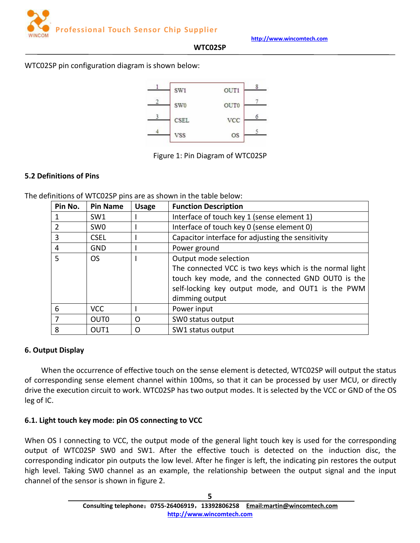

#### <span id="page-4-0"></span>WTC02SP pin configuration diagram is shown below:



### Figure 1: Pin Diagram of WTC02SP

### **5.2 Definitions of Pins**

The definitions of WTC02SP pins are as shown in the table below:

| Pin No. | <b>Pin Name</b>  | <b>Usage</b> | <b>Function Description</b>                             |
|---------|------------------|--------------|---------------------------------------------------------|
|         | SW <sub>1</sub>  |              | Interface of touch key 1 (sense element 1)              |
| 2       | SW0              |              | Interface of touch key 0 (sense element 0)              |
| 3       | <b>CSEL</b>      |              | Capacitor interface for adjusting the sensitivity       |
| 4       | <b>GND</b>       |              | Power ground                                            |
| 5.      | <b>OS</b>        |              | Output mode selection                                   |
|         |                  |              | The connected VCC is two keys which is the normal light |
|         |                  |              | touch key mode, and the connected GND OUT0 is the       |
|         |                  |              | self-locking key output mode, and OUT1 is the PWM       |
|         |                  |              | dimming output                                          |
| 6       | <b>VCC</b>       |              | Power input                                             |
| 7       | OUT <sub>0</sub> | $\Omega$     | SWO status output                                       |
| 8       | OUT1             | $\Omega$     | SW1 status output                                       |

#### **6. Output Display**

When the occurrence of effective touch on the sense element is detected, WTC02SP will output the status of corresponding sense element channel within 100ms, so that it can be processed by user MCU, or directly drive the execution circuit to work. WTC02SP has two output modes. It is selected by the VCC or GND of the OS leg of IC.

### **6.1. Light touch key mode: pin OS connecting to VCC**

When OS I connecting to VCC, the output mode of the general light touch key is used for the corresponding output of WTC02SP SW0 and SW1. After the effective touch is detected on the induction disc, the corresponding indicator pin outputs the low level. After he finger is left, the indicating pin restores the output high level. Taking SW0 channel as an example, the relationship between the output signal and the input channel of the sensor is shown in figure 2.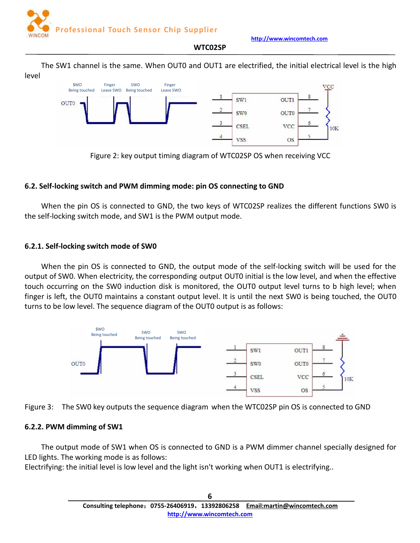

### **WTC02SP**

<span id="page-5-0"></span>The SW1 channel is the same. When OUT0 and OUT1 are electrified, the initial electrical level is the high level





## **6.2. Self-locking switch and PWM dimming mode: pin OS connecting to GND**

When the pin OS is connected to GND, the two keys of WTC02SP realizes the different functions SW0 is the self-locking switch mode, and SW1 is the PWM output mode.

## **6.2.1. Self-locking switch mode of SW0**

When the pin OS is connected to GND, the output mode of the self-locking switch will be used for the output of SW0. When electricity, the corresponding output OUT0 initial is the low level, and when the effective touch occurring on the SW0 induction disk is monitored, the OUT0 output level turns to b high level; when finger is left, the OUT0 maintains a constant output level. It is until the next SW0 is being touched, the OUT0 turns to be low level. The sequence diagram of the OUT0 output is as follows:





## **6.2.2. PWM dimming of SW1**

The output mode of SW1 when OS is connected to GND is a PWM dimmer channel specially designed for LED lights. The working mode is as follows:

Electrifying: the initial level is low level and the light isn't working when OUT1 is electrifying..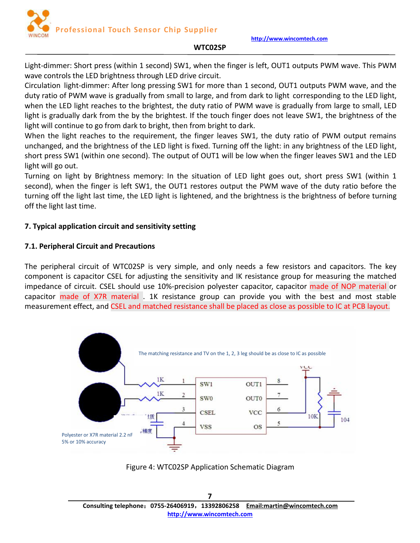#### **WTC02SP**

<span id="page-6-0"></span>Light-dimmer: Short press (within 1 second) SW1, when the finger is left, OUT1 outputs PWM wave. This PWM wave controls the LED brightness through LED drive circuit.

Circulation light-dimmer: After long pressing SW1 for more than 1 second, OUT1 outputs PWM wave, and the duty ratio of PWM wave is gradually from small to large, and from dark to light corresponding to the LED light, when the LED light reaches to the brightest, the duty ratio of PWM wave is gradually from large to small, LED light is gradually dark from the by the brightest. If the touch finger does not leave SW1, the brightness of the light will continue to go from dark to bright, then from bright to dark.

When the light reaches to the requirement, the finger leaves SW1, the duty ratio of PWM output remains unchanged, and the brightness of the LED light is fixed. Turning off the light: in any brightness of the LED light, short press SW1 (within one second). The output of OUT1 will be low when the finger leaves SW1 and the LED light will go out.

Turning on light by Brightness memory: In the situation of LED light goes out, short press SW1 (within 1 second), when the finger is left SW1, the OUT1 restores output the PWM wave of the duty ratio before the turning off the light last time, the LED light is lightened, and the brightness is the brightness of before turning off the light last time.

### **7. Typical application circuit and sensitivity setting**

### **7.1. Peripheral Circuit and Precautions**

The peripheral circuit of WTC02SP is very simple, and only needs a few resistors and capacitors. The key component is capacitor CSEL for adjusting the sensitivity and IK resistance group for measuring the matched impedance of circuit. CSEL should use 10%-precision polyester capacitor, capacitor made of NOP material or capacitor made of X7R material . 1K resistance group can provide you with the best and most stable measurement effect, and CSEL and matched resistance shall be placed as close as possible to IC at PCB layout.



Figure 4: WTC02SP Application Schematic Diagram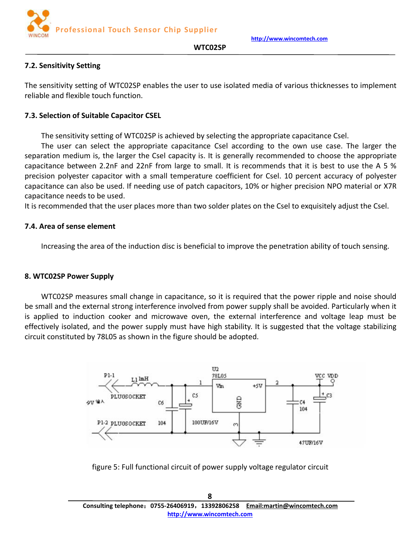**Professional Touch Sensor Chip Supplier**



#### **WTC02SP**

### <span id="page-7-0"></span>**7.2. Sensitivity Setting**

The sensitivity setting of WTC02SP enables the user to use isolated media of various thicknesses to implement reliable and flexible touch function.

### **7.3. Selection of Suitable Capacitor CSEL**

The sensitivity setting of WTC02SP is achieved by selecting the appropriate capacitance Csel.

The user can select the appropriate capacitance Csel according to the own use case. The larger the separation medium is, the larger the Csel capacity is. It is generally recommended to choose the appropriate capacitance between 2.2nF and 22nF from large to small. It is recommends that it is best to use the A 5 % precision polyester capacitor with a small temperature coefficient for Csel. 10 percent accuracy of polyester capacitance can also be used. If needing use of patch capacitors, 10% or higher precision NPO material or X7R capacitance needs to be used.

It is recommended that the user places more than two solder plates on the Csel to exquisitely adjust the Csel.

### **7.4. Area of sense element**

Increasing the area of the induction disc is beneficial to improve the penetration ability of touch sensing.

#### **8. WTC02SP Power Supply**

WTC02SP measures small change in capacitance, so it is required that the power ripple and noise should be small and the external strong interference involved from power supply shall be avoided. Particularly when it is applied to induction cooker and microwave oven, the external interference and voltage leap must be effectively isolated, and the power supply must have high stability. It is suggested that the voltage stabilizing circuit constituted by 78L05 as shown in the figure should be adopted.



figure 5: Full functional circuit of power supply voltage regulator circuit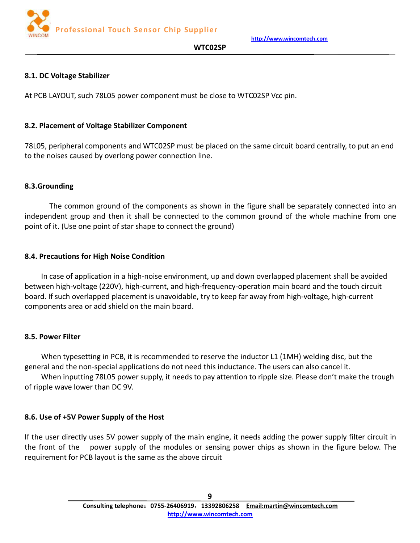

### **WTC02SP**

## <span id="page-8-0"></span>**8.1. DC Voltage Stabilizer**

At PCB LAYOUT, such 78L05 power component must be close to WTC02SP Vcc pin.

### **8.2. Placement of Voltage Stabilizer Component**

78L05, peripheral components and WTC02SP must be placed on the same circuit board centrally, to put an end to the noises caused by overlong power connection line.

### **8.3.Grounding**

The common ground of the components as shown in the figure shall be separately connected into an independent group and then it shall be connected to the common ground of the whole machine from one point of it.(Use one point of star shape to connect the ground)

### **8.4. Precautions for High Noise Condition**

In case of application in a high-noise environment, up and down overlapped placement shall be avoided between high-voltage (220V), high-current, and high-frequency-operation main board and the touch circuit board. If such overlapped placement is unavoidable, try to keep far away from high-voltage, high-current components area or add shield on the main board.

### **8.5. Power Filter**

When typesetting in PCB, it is recommended to reserve the inductor L1 (1MH) welding disc, but the general and the non-special applications do not need this inductance. The users can also cancel it.

When inputting 78L05 power supply, it needs to pay attention to ripple size. Please don't make the trough of ripple wave lower than DC 9V.

## **8.6. Use of +5V Power Supply of the Host**

If the user directly uses 5V power supply of the main engine, it needs adding the power supply filter circuit in the front of the power supply of the modules or sensing power chips as shown in the figure below. The requirement for PCB layout is the same as the above circuit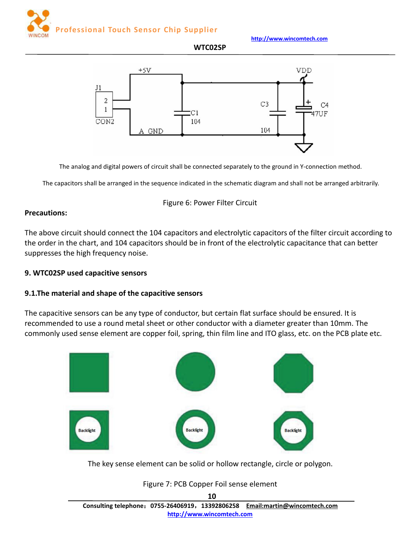<span id="page-9-0"></span>**Professional Touch Sensor Chip Supplier**



**http://www.wincomtech.com**

**WTC02SP**



The analog and digital powers of circuit shall be connected separately to the ground in Y-connection method.

The capacitors shall be arranged in the sequence indicated in the schematic diagram and shall not be arranged arbitrarily.

### Figure 6: Power Filter Circuit

### **Precautions:**

The above circuit should connect the 104 capacitors and electrolytic capacitors of the filter circuit according to the order in the chart, and 104 capacitors should be in front of the electrolytic capacitance that can better suppresses the high frequency noise.

## **9. WTC02SP used capacitive sensors**

### **9.1.The material and shape of the capacitive sensors**

The capacitive sensors can be any type of conductor, but certain flat surface should be ensured. It is recommended to use a round metal sheet or other conductor with a diameter greater than 10mm. The commonly used sense element are copper foil, spring, thin film line and ITO glass, etc. on the PCB plate etc.



The key sense element can be solid or hollow rectangle, circle or polygon.

### Figure 7: PCB Copper Foil sense element

**10 Consulting telephone**:**0755-26406919**,**13392806258 Email:martin@wincomtech.com http://www.wincomtech.com**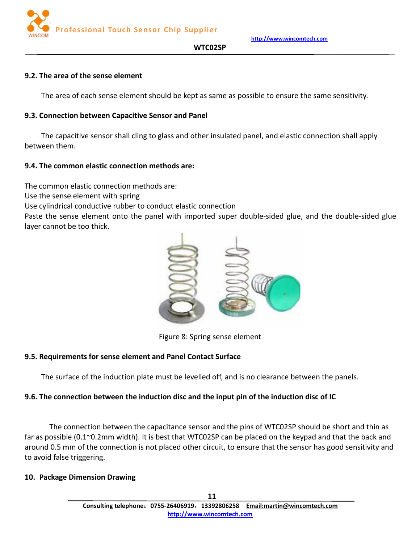

**WTC02SP**

### <span id="page-10-1"></span><span id="page-10-0"></span>**9.2. The area of the sense element**

The area of each sense element should be kept as same as possible to ensure the same sensitivity.

### **9.3. Connection between Capacitive Sensor and Panel**

The capacitive sensor shall cling to glass and other insulated panel, and elastic connection shall apply between them.

### **9.4. The common elastic connection methods are:**

The common elastic connection methods are:

Use the sense element with spring

Use cylindrical conductive rubber to conduct elastic connection

Paste the sense element onto the panel with imported super double-sided glue, and the double-sided glue layer cannot be too thick.



Figure 8: Spring sense element

## **9.5. Requirements for sense element and Panel Contact Surface**

The surface of the induction plate must be levelled off, and is no clearance between the panels.

## **9.6. The connection between the induction disc and the input pin of the induction disc of IC**

The connection between the capacitance sensor and the pins of WTC02SP should be short and thin as far as possible (0.1 $\degree$ 0.2mm width). It is best that WTC02SP can be placed on the keypad and that the back and around 0.5 mm of the connection is not placed other circuit, to ensure that the sensor has good sensitivity and to avoid false triggering.

### **10. Package Dimension Drawing**